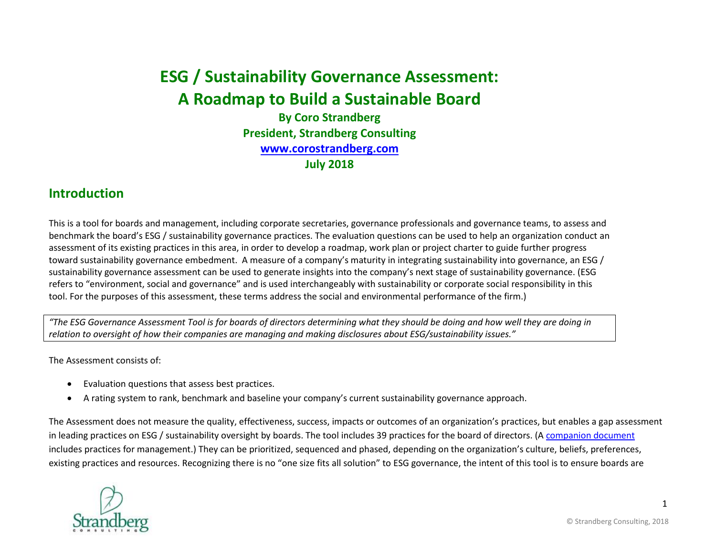# **ESG / Sustainability Governance Assessment: A Roadmap to Build a Sustainable Board**

**By Coro Strandberg President, Strandberg Consulting [www.corostrandberg.com](http://www.corostrandberg.com/) July 2018**

### **Introduction**

This is a tool for boards and management, including corporate secretaries, governance professionals and governance teams, to assess and benchmark the board's ESG / sustainability governance practices. The evaluation questions can be used to help an organization conduct an assessment of its existing practices in this area, in order to develop a roadmap, work plan or project charter to guide further progress toward sustainability governance embedment. A measure of a company's maturity in integrating sustainability into governance, an ESG / sustainability governance assessment can be used to generate insights into the company's next stage of sustainability governance. (ESG refers to "environment, social and governance" and is used interchangeably with sustainability or corporate social responsibility in this tool. For the purposes of this assessment, these terms address the social and environmental performance of the firm.)

*"The ESG Governance Assessment Tool is for boards of directors determining what they should be doing and how well they are doing in relation to oversight of how their companies are managing and making disclosures about ESG/sustainability issues."*

The Assessment consists of:

- Evaluation questions that assess best practices.
- A rating system to rank, benchmark and baseline your company's current sustainability governance approach.

The Assessment does not measure the quality, effectiveness, success, impacts or outcomes of an organization's practices, but enables a gap assessment in leading practices on ESG / sustainability oversight by boards. The tool includes 39 practices for the board of directors. ([A companion document](mailto:http://corostrandberg.com/publication/csr-sustainability-governance-and-management-assessment/) includes practices for management.) They can be prioritized, sequenced and phased, depending on the organization's culture, beliefs, preferences, existing practices and resources. Recognizing there is no "one size fits all solution" to ESG governance, the intent of this tool is to ensure boards are

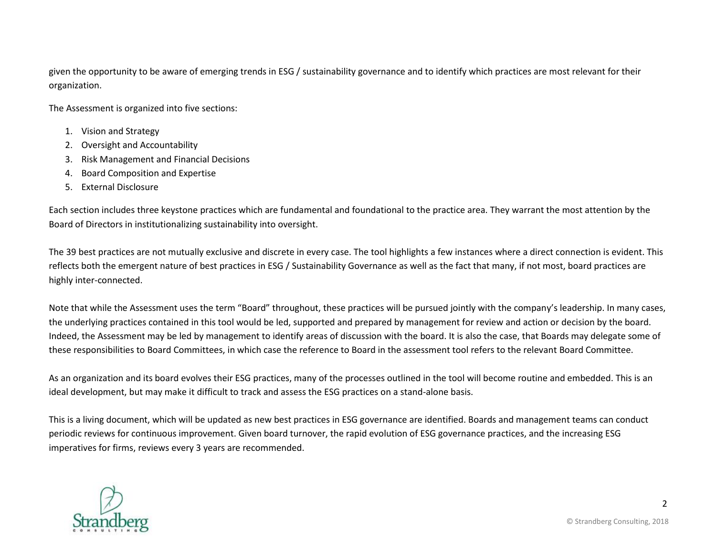given the opportunity to be aware of emerging trends in ESG / sustainability governance and to identify which practices are most relevant for their organization.

The Assessment is organized into five sections:

- 1. Vision and Strategy
- 2. Oversight and Accountability
- 3. Risk Management and Financial Decisions
- 4. Board Composition and Expertise
- 5. External Disclosure

Each section includes three keystone practices which are fundamental and foundational to the practice area. They warrant the most attention by the Board of Directors in institutionalizing sustainability into oversight.

The 39 best practices are not mutually exclusive and discrete in every case. The tool highlights a few instances where a direct connection is evident. This reflects both the emergent nature of best practices in ESG / Sustainability Governance as well as the fact that many, if not most, board practices are highly inter-connected.

Note that while the Assessment uses the term "Board" throughout, these practices will be pursued jointly with the company's leadership. In many cases, the underlying practices contained in this tool would be led, supported and prepared by management for review and action or decision by the board. Indeed, the Assessment may be led by management to identify areas of discussion with the board. It is also the case, that Boards may delegate some of these responsibilities to Board Committees, in which case the reference to Board in the assessment tool refers to the relevant Board Committee.

As an organization and its board evolves their ESG practices, many of the processes outlined in the tool will become routine and embedded. This is an ideal development, but may make it difficult to track and assess the ESG practices on a stand-alone basis.

This is a living document, which will be updated as new best practices in ESG governance are identified. Boards and management teams can conduct periodic reviews for continuous improvement. Given board turnover, the rapid evolution of ESG governance practices, and the increasing ESG imperatives for firms, reviews every 3 years are recommended.



2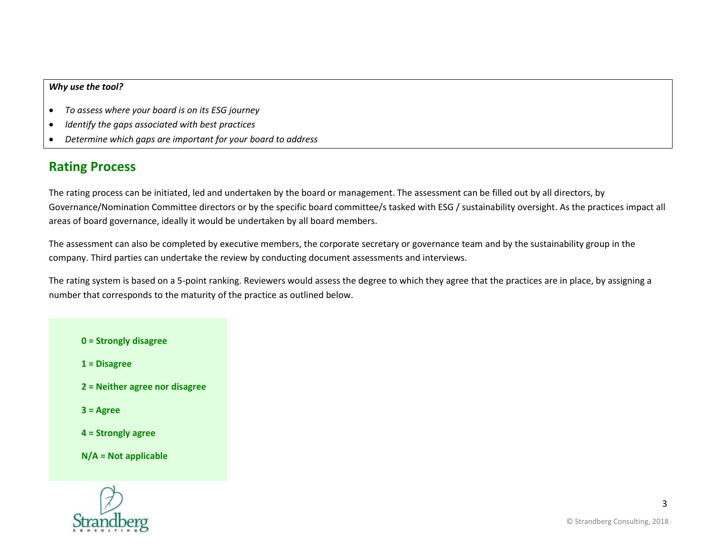#### *Why use the tool?*

- *To assess where your board is on its ESG journey*
- *Identify the gaps associated with best practices*
- *Determine which gaps are important for your board to address*

## **Rating Process**

The rating process can be initiated, led and undertaken by the board or management. The assessment can be filled out by all directors, by Governance/Nomination Committee directors or by the specific board committee/s tasked with ESG / sustainability oversight. As the practices impact all areas of board governance, ideally it would be undertaken by all board members.

The assessment can also be completed by executive members, the corporate secretary or governance team and by the sustainability group in the company. Third parties can undertake the review by conducting document assessments and interviews.

The rating system is based on a 5-point ranking. Reviewers would assess the degree to which they agree that the practices are in place, by assigning a number that corresponds to the maturity of the practice as outlined below.

#### **0 = Strongly disagree**

**1 = Disagree**

- **2 = Neither agree nor disagree**
- **3 = Agree**
- **4 = Strongly agree**
- **N/A = Not applicable**

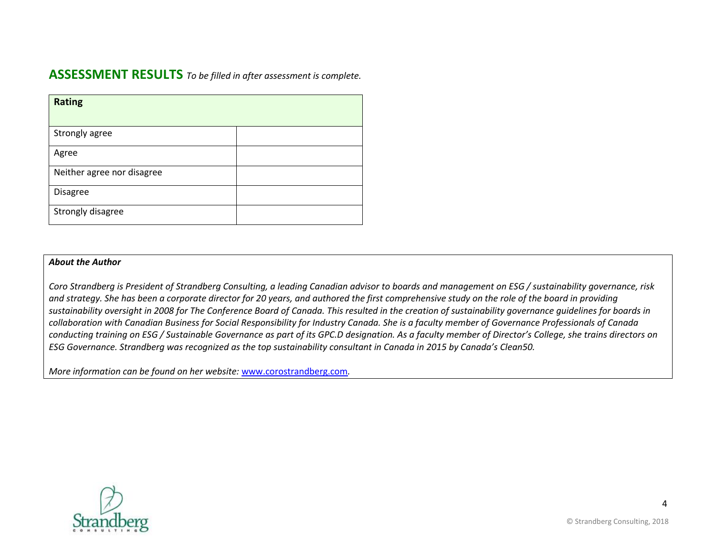### **ASSESSMENT RESULTS** *To be filled in after assessment is complete.*

| <b>Rating</b>              |  |
|----------------------------|--|
|                            |  |
| Strongly agree             |  |
|                            |  |
| Agree                      |  |
|                            |  |
| Neither agree nor disagree |  |
|                            |  |
| Disagree                   |  |
|                            |  |
| Strongly disagree          |  |
|                            |  |

#### *About the Author*

*Coro Strandberg is President of Strandberg Consulting, a leading Canadian advisor to boards and management on ESG / sustainability governance, risk and strategy. She has been a corporate director for 20 years, and authored the first comprehensive study on the role of the board in providing sustainability oversight in 2008 for The Conference Board of Canada. This resulted in the creation of sustainability governance guidelines for boards in collaboration with Canadian Business for Social Responsibility for Industry Canada. She is a faculty member of Governance Professionals of Canada conducting training on ESG / Sustainable Governance as part of its GPC.D designation. As a faculty member of Director's College, she trains directors on ESG Governance. Strandberg was recognized as the top sustainability consultant in Canada in 2015 by Canada's Clean50.*

*More information can be found on her website:* [www.corostrandberg.com](http://www.corostrandberg.com/)*.*

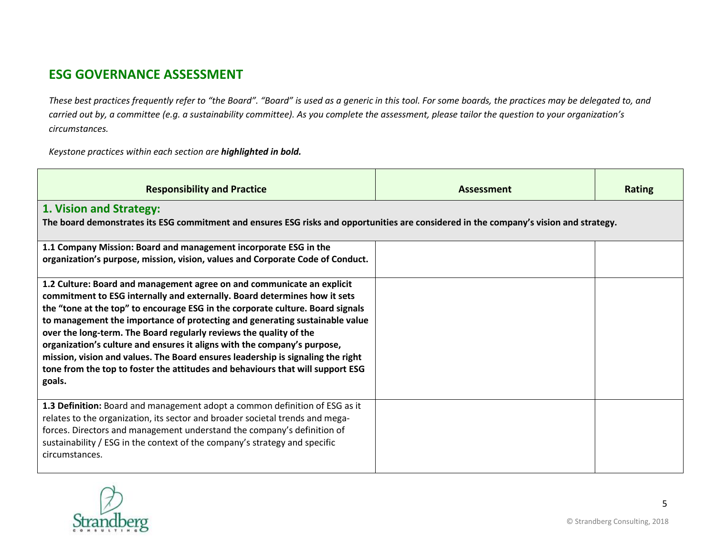# **ESG GOVERNANCE ASSESSMENT**

*These best practices frequently refer to "the Board". "Board" is used as a generic in this tool. For some boards, the practices may be delegated to, and carried out by, a committee (e.g. a sustainability committee). As you complete the assessment, please tailor the question to your organization's circumstances.* 

*Keystone practices within each section are highlighted in bold.*

| <b>Responsibility and Practice</b>                                                                                                                                                                                                                                                                                                                                                                                                                                                                                                                                                                                                                    | <b>Assessment</b> | <b>Rating</b> |
|-------------------------------------------------------------------------------------------------------------------------------------------------------------------------------------------------------------------------------------------------------------------------------------------------------------------------------------------------------------------------------------------------------------------------------------------------------------------------------------------------------------------------------------------------------------------------------------------------------------------------------------------------------|-------------------|---------------|
| 1. Vision and Strategy:<br>The board demonstrates its ESG commitment and ensures ESG risks and opportunities are considered in the company's vision and strategy.                                                                                                                                                                                                                                                                                                                                                                                                                                                                                     |                   |               |
| 1.1 Company Mission: Board and management incorporate ESG in the<br>organization's purpose, mission, vision, values and Corporate Code of Conduct.                                                                                                                                                                                                                                                                                                                                                                                                                                                                                                    |                   |               |
| 1.2 Culture: Board and management agree on and communicate an explicit<br>commitment to ESG internally and externally. Board determines how it sets<br>the "tone at the top" to encourage ESG in the corporate culture. Board signals<br>to management the importance of protecting and generating sustainable value<br>over the long-term. The Board regularly reviews the quality of the<br>organization's culture and ensures it aligns with the company's purpose,<br>mission, vision and values. The Board ensures leadership is signaling the right<br>tone from the top to foster the attitudes and behaviours that will support ESG<br>goals. |                   |               |
| 1.3 Definition: Board and management adopt a common definition of ESG as it<br>relates to the organization, its sector and broader societal trends and mega-<br>forces. Directors and management understand the company's definition of<br>sustainability / ESG in the context of the company's strategy and specific<br>circumstances.                                                                                                                                                                                                                                                                                                               |                   |               |

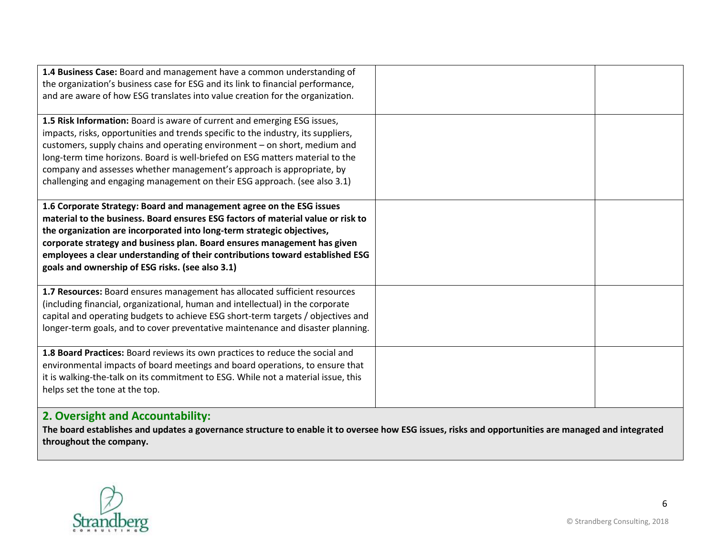| 1.4 Business Case: Board and management have a common understanding of<br>the organization's business case for ESG and its link to financial performance,<br>and are aware of how ESG translates into value creation for the organization.                                                                                                                                                                                                                                        |  |
|-----------------------------------------------------------------------------------------------------------------------------------------------------------------------------------------------------------------------------------------------------------------------------------------------------------------------------------------------------------------------------------------------------------------------------------------------------------------------------------|--|
| 1.5 Risk Information: Board is aware of current and emerging ESG issues,<br>impacts, risks, opportunities and trends specific to the industry, its suppliers,<br>customers, supply chains and operating environment - on short, medium and<br>long-term time horizons. Board is well-briefed on ESG matters material to the<br>company and assesses whether management's approach is appropriate, by<br>challenging and engaging management on their ESG approach. (see also 3.1) |  |
| 1.6 Corporate Strategy: Board and management agree on the ESG issues<br>material to the business. Board ensures ESG factors of material value or risk to<br>the organization are incorporated into long-term strategic objectives,<br>corporate strategy and business plan. Board ensures management has given<br>employees a clear understanding of their contributions toward established ESG<br>goals and ownership of ESG risks. (see also 3.1)                               |  |
| 1.7 Resources: Board ensures management has allocated sufficient resources<br>(including financial, organizational, human and intellectual) in the corporate<br>capital and operating budgets to achieve ESG short-term targets / objectives and<br>longer-term goals, and to cover preventative maintenance and disaster planning.                                                                                                                                               |  |
| 1.8 Board Practices: Board reviews its own practices to reduce the social and<br>environmental impacts of board meetings and board operations, to ensure that<br>it is walking-the-talk on its commitment to ESG. While not a material issue, this<br>helps set the tone at the top.<br>$\mathbf{A}$ $\mathbf{A}$ is a set of the set of $\mathbf{A}$ and $\mathbf{A}$ is a set of the set of $\mathbf{A}$                                                                        |  |

### **2. Oversight and Accountability:**

**The board establishes and updates a governance structure to enable it to oversee how ESG issues, risks and opportunities are managed and integrated throughout the company.**

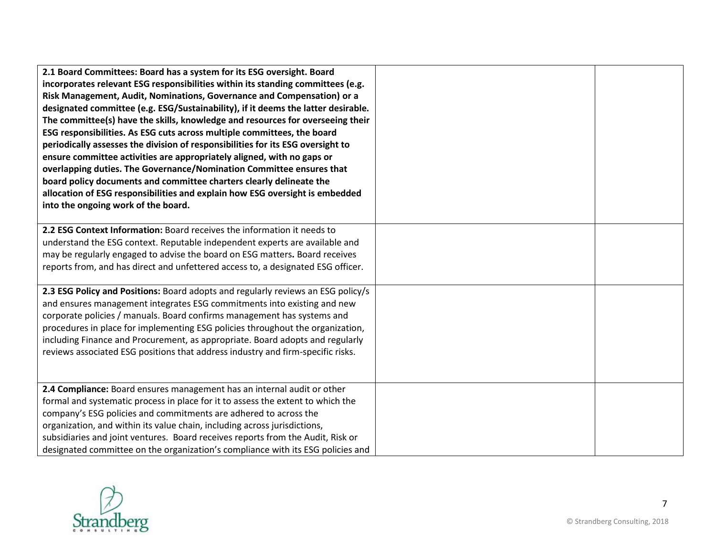| 2.1 Board Committees: Board has a system for its ESG oversight. Board<br>incorporates relevant ESG responsibilities within its standing committees (e.g.<br>Risk Management, Audit, Nominations, Governance and Compensation) or a<br>designated committee (e.g. ESG/Sustainability), if it deems the latter desirable.<br>The committee(s) have the skills, knowledge and resources for overseeing their<br>ESG responsibilities. As ESG cuts across multiple committees, the board<br>periodically assesses the division of responsibilities for its ESG oversight to<br>ensure committee activities are appropriately aligned, with no gaps or<br>overlapping duties. The Governance/Nomination Committee ensures that<br>board policy documents and committee charters clearly delineate the<br>allocation of ESG responsibilities and explain how ESG oversight is embedded<br>into the ongoing work of the board. |  |
|-------------------------------------------------------------------------------------------------------------------------------------------------------------------------------------------------------------------------------------------------------------------------------------------------------------------------------------------------------------------------------------------------------------------------------------------------------------------------------------------------------------------------------------------------------------------------------------------------------------------------------------------------------------------------------------------------------------------------------------------------------------------------------------------------------------------------------------------------------------------------------------------------------------------------|--|
| 2.2 ESG Context Information: Board receives the information it needs to<br>understand the ESG context. Reputable independent experts are available and<br>may be regularly engaged to advise the board on ESG matters. Board receives<br>reports from, and has direct and unfettered access to, a designated ESG officer.                                                                                                                                                                                                                                                                                                                                                                                                                                                                                                                                                                                               |  |
| 2.3 ESG Policy and Positions: Board adopts and regularly reviews an ESG policy/s<br>and ensures management integrates ESG commitments into existing and new<br>corporate policies / manuals. Board confirms management has systems and<br>procedures in place for implementing ESG policies throughout the organization,<br>including Finance and Procurement, as appropriate. Board adopts and regularly<br>reviews associated ESG positions that address industry and firm-specific risks.                                                                                                                                                                                                                                                                                                                                                                                                                            |  |
| 2.4 Compliance: Board ensures management has an internal audit or other<br>formal and systematic process in place for it to assess the extent to which the<br>company's ESG policies and commitments are adhered to across the<br>organization, and within its value chain, including across jurisdictions,<br>subsidiaries and joint ventures. Board receives reports from the Audit, Risk or<br>designated committee on the organization's compliance with its ESG policies and                                                                                                                                                                                                                                                                                                                                                                                                                                       |  |

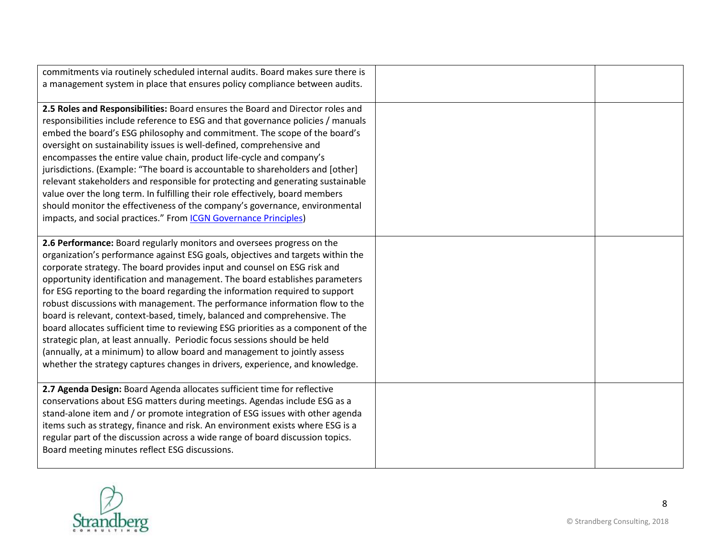| commitments via routinely scheduled internal audits. Board makes sure there is<br>a management system in place that ensures policy compliance between audits.                                                                                                                                                                                                                                                                                                                                                                                                                                                                                                                                                                                                                                                                                                                                  |  |
|------------------------------------------------------------------------------------------------------------------------------------------------------------------------------------------------------------------------------------------------------------------------------------------------------------------------------------------------------------------------------------------------------------------------------------------------------------------------------------------------------------------------------------------------------------------------------------------------------------------------------------------------------------------------------------------------------------------------------------------------------------------------------------------------------------------------------------------------------------------------------------------------|--|
| 2.5 Roles and Responsibilities: Board ensures the Board and Director roles and<br>responsibilities include reference to ESG and that governance policies / manuals<br>embed the board's ESG philosophy and commitment. The scope of the board's<br>oversight on sustainability issues is well-defined, comprehensive and<br>encompasses the entire value chain, product life-cycle and company's<br>jurisdictions. (Example: "The board is accountable to shareholders and [other]<br>relevant stakeholders and responsible for protecting and generating sustainable<br>value over the long term. In fulfilling their role effectively, board members<br>should monitor the effectiveness of the company's governance, environmental<br>impacts, and social practices." From ICGN Governance Principles)                                                                                      |  |
| 2.6 Performance: Board regularly monitors and oversees progress on the<br>organization's performance against ESG goals, objectives and targets within the<br>corporate strategy. The board provides input and counsel on ESG risk and<br>opportunity identification and management. The board establishes parameters<br>for ESG reporting to the board regarding the information required to support<br>robust discussions with management. The performance information flow to the<br>board is relevant, context-based, timely, balanced and comprehensive. The<br>board allocates sufficient time to reviewing ESG priorities as a component of the<br>strategic plan, at least annually. Periodic focus sessions should be held<br>(annually, at a minimum) to allow board and management to jointly assess<br>whether the strategy captures changes in drivers, experience, and knowledge. |  |
| 2.7 Agenda Design: Board Agenda allocates sufficient time for reflective<br>conservations about ESG matters during meetings. Agendas include ESG as a<br>stand-alone item and / or promote integration of ESG issues with other agenda<br>items such as strategy, finance and risk. An environment exists where ESG is a<br>regular part of the discussion across a wide range of board discussion topics.<br>Board meeting minutes reflect ESG discussions.                                                                                                                                                                                                                                                                                                                                                                                                                                   |  |

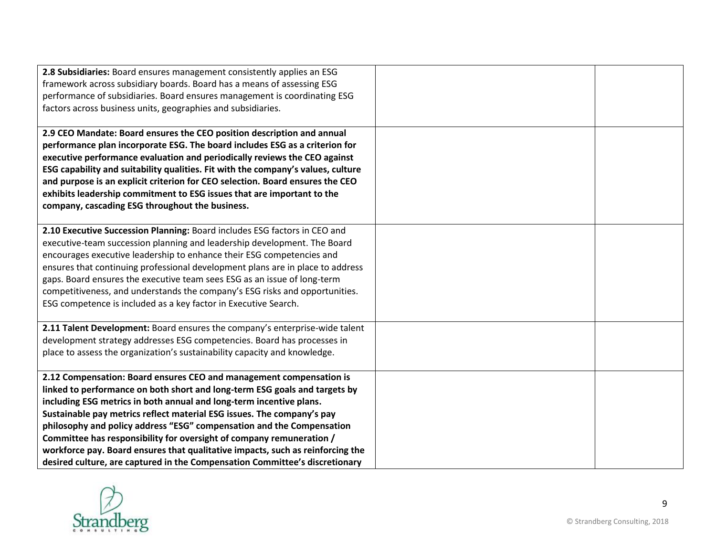| 2.8 Subsidiaries: Board ensures management consistently applies an ESG<br>framework across subsidiary boards. Board has a means of assessing ESG<br>performance of subsidiaries. Board ensures management is coordinating ESG<br>factors across business units, geographies and subsidiaries.                                                                                                                                                                                                                                                                                                                        |  |
|----------------------------------------------------------------------------------------------------------------------------------------------------------------------------------------------------------------------------------------------------------------------------------------------------------------------------------------------------------------------------------------------------------------------------------------------------------------------------------------------------------------------------------------------------------------------------------------------------------------------|--|
| 2.9 CEO Mandate: Board ensures the CEO position description and annual<br>performance plan incorporate ESG. The board includes ESG as a criterion for<br>executive performance evaluation and periodically reviews the CEO against<br>ESG capability and suitability qualities. Fit with the company's values, culture<br>and purpose is an explicit criterion for CEO selection. Board ensures the CEO<br>exhibits leadership commitment to ESG issues that are important to the<br>company, cascading ESG throughout the business.                                                                                 |  |
| 2.10 Executive Succession Planning: Board includes ESG factors in CEO and<br>executive-team succession planning and leadership development. The Board<br>encourages executive leadership to enhance their ESG competencies and<br>ensures that continuing professional development plans are in place to address<br>gaps. Board ensures the executive team sees ESG as an issue of long-term<br>competitiveness, and understands the company's ESG risks and opportunities.<br>ESG competence is included as a key factor in Executive Search.                                                                       |  |
| 2.11 Talent Development: Board ensures the company's enterprise-wide talent<br>development strategy addresses ESG competencies. Board has processes in<br>place to assess the organization's sustainability capacity and knowledge.                                                                                                                                                                                                                                                                                                                                                                                  |  |
| 2.12 Compensation: Board ensures CEO and management compensation is<br>linked to performance on both short and long-term ESG goals and targets by<br>including ESG metrics in both annual and long-term incentive plans.<br>Sustainable pay metrics reflect material ESG issues. The company's pay<br>philosophy and policy address "ESG" compensation and the Compensation<br>Committee has responsibility for oversight of company remuneration /<br>workforce pay. Board ensures that qualitative impacts, such as reinforcing the<br>desired culture, are captured in the Compensation Committee's discretionary |  |

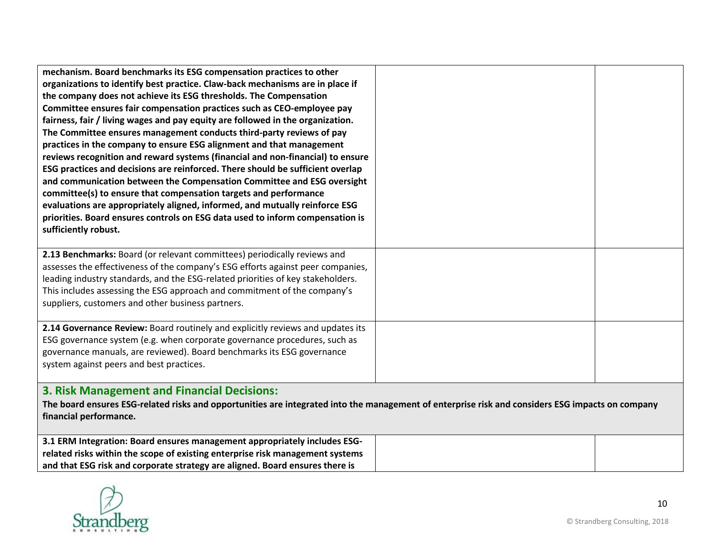| mechanism. Board benchmarks its ESG compensation practices to other<br>organizations to identify best practice. Claw-back mechanisms are in place if<br>the company does not achieve its ESG thresholds. The Compensation<br>Committee ensures fair compensation practices such as CEO-employee pay<br>fairness, fair / living wages and pay equity are followed in the organization.<br>The Committee ensures management conducts third-party reviews of pay<br>practices in the company to ensure ESG alignment and that management<br>reviews recognition and reward systems (financial and non-financial) to ensure<br>ESG practices and decisions are reinforced. There should be sufficient overlap<br>and communication between the Compensation Committee and ESG oversight<br>committee(s) to ensure that compensation targets and performance<br>evaluations are appropriately aligned, informed, and mutually reinforce ESG<br>priorities. Board ensures controls on ESG data used to inform compensation is<br>sufficiently robust. |  |  |
|-------------------------------------------------------------------------------------------------------------------------------------------------------------------------------------------------------------------------------------------------------------------------------------------------------------------------------------------------------------------------------------------------------------------------------------------------------------------------------------------------------------------------------------------------------------------------------------------------------------------------------------------------------------------------------------------------------------------------------------------------------------------------------------------------------------------------------------------------------------------------------------------------------------------------------------------------------------------------------------------------------------------------------------------------|--|--|
| 2.13 Benchmarks: Board (or relevant committees) periodically reviews and<br>assesses the effectiveness of the company's ESG efforts against peer companies,<br>leading industry standards, and the ESG-related priorities of key stakeholders.<br>This includes assessing the ESG approach and commitment of the company's<br>suppliers, customers and other business partners.                                                                                                                                                                                                                                                                                                                                                                                                                                                                                                                                                                                                                                                                 |  |  |
| 2.14 Governance Review: Board routinely and explicitly reviews and updates its<br>ESG governance system (e.g. when corporate governance procedures, such as<br>governance manuals, are reviewed). Board benchmarks its ESG governance<br>system against peers and best practices.                                                                                                                                                                                                                                                                                                                                                                                                                                                                                                                                                                                                                                                                                                                                                               |  |  |
| <b>3. Risk Management and Financial Decisions:</b><br>The board ensures ESG-related risks and opportunities are integrated into the management of enterprise risk and considers ESG impacts on company<br>financial performance.                                                                                                                                                                                                                                                                                                                                                                                                                                                                                                                                                                                                                                                                                                                                                                                                                |  |  |

| 3.1 ERM Integration: Board ensures management appropriately includes ESG-     |  |
|-------------------------------------------------------------------------------|--|
| related risks within the scope of existing enterprise risk management systems |  |
| and that ESG risk and corporate strategy are aligned. Board ensures there is  |  |

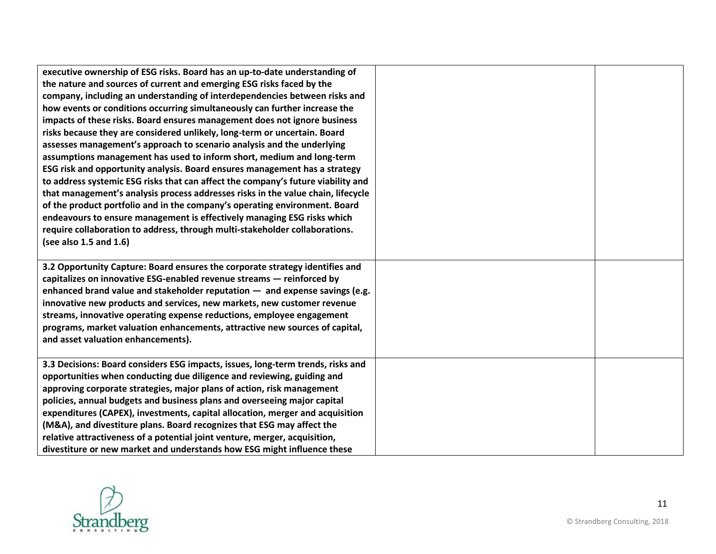| executive ownership of ESG risks. Board has an up-to-date understanding of<br>the nature and sources of current and emerging ESG risks faced by the<br>company, including an understanding of interdependencies between risks and<br>how events or conditions occurring simultaneously can further increase the<br>impacts of these risks. Board ensures management does not ignore business<br>risks because they are considered unlikely, long-term or uncertain. Board<br>assesses management's approach to scenario analysis and the underlying<br>assumptions management has used to inform short, medium and long-term<br>ESG risk and opportunity analysis. Board ensures management has a strategy<br>to address systemic ESG risks that can affect the company's future viability and<br>that management's analysis process addresses risks in the value chain, lifecycle<br>of the product portfolio and in the company's operating environment. Board<br>endeavours to ensure management is effectively managing ESG risks which<br>require collaboration to address, through multi-stakeholder collaborations.<br>(see also $1.5$ and $1.6$ ) |  |
|-----------------------------------------------------------------------------------------------------------------------------------------------------------------------------------------------------------------------------------------------------------------------------------------------------------------------------------------------------------------------------------------------------------------------------------------------------------------------------------------------------------------------------------------------------------------------------------------------------------------------------------------------------------------------------------------------------------------------------------------------------------------------------------------------------------------------------------------------------------------------------------------------------------------------------------------------------------------------------------------------------------------------------------------------------------------------------------------------------------------------------------------------------------|--|
| 3.2 Opportunity Capture: Board ensures the corporate strategy identifies and<br>capitalizes on innovative ESG-enabled revenue streams - reinforced by<br>enhanced brand value and stakeholder reputation $-$ and expense savings (e.g.<br>innovative new products and services, new markets, new customer revenue<br>streams, innovative operating expense reductions, employee engagement<br>programs, market valuation enhancements, attractive new sources of capital,<br>and asset valuation enhancements).                                                                                                                                                                                                                                                                                                                                                                                                                                                                                                                                                                                                                                           |  |
| 3.3 Decisions: Board considers ESG impacts, issues, long-term trends, risks and<br>opportunities when conducting due diligence and reviewing, guiding and<br>approving corporate strategies, major plans of action, risk management<br>policies, annual budgets and business plans and overseeing major capital<br>expenditures (CAPEX), investments, capital allocation, merger and acquisition<br>(M&A), and divestiture plans. Board recognizes that ESG may affect the<br>relative attractiveness of a potential joint venture, merger, acquisition,<br>divestiture or new market and understands how ESG might influence these                                                                                                                                                                                                                                                                                                                                                                                                                                                                                                                       |  |

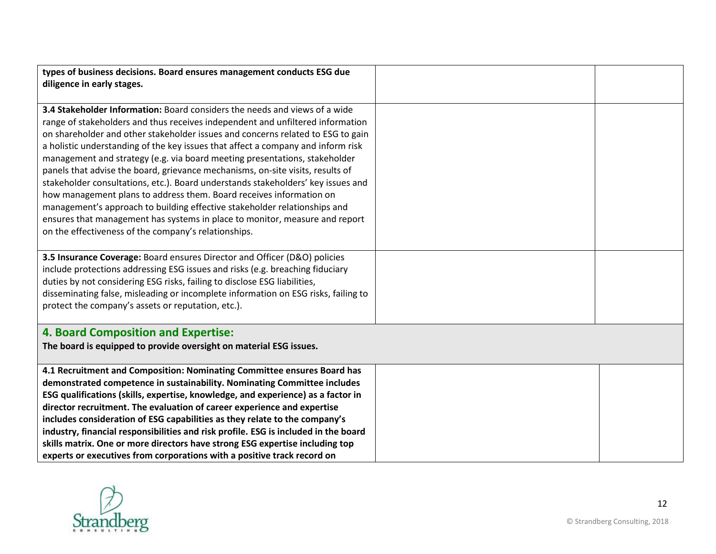| types of business decisions. Board ensures management conducts ESG due              |  |
|-------------------------------------------------------------------------------------|--|
| diligence in early stages.                                                          |  |
|                                                                                     |  |
| 3.4 Stakeholder Information: Board considers the needs and views of a wide          |  |
| range of stakeholders and thus receives independent and unfiltered information      |  |
| on shareholder and other stakeholder issues and concerns related to ESG to gain     |  |
| a holistic understanding of the key issues that affect a company and inform risk    |  |
| management and strategy (e.g. via board meeting presentations, stakeholder          |  |
| panels that advise the board, grievance mechanisms, on-site visits, results of      |  |
| stakeholder consultations, etc.). Board understands stakeholders' key issues and    |  |
| how management plans to address them. Board receives information on                 |  |
| management's approach to building effective stakeholder relationships and           |  |
| ensures that management has systems in place to monitor, measure and report         |  |
| on the effectiveness of the company's relationships.                                |  |
|                                                                                     |  |
| 3.5 Insurance Coverage: Board ensures Director and Officer (D&O) policies           |  |
| include protections addressing ESG issues and risks (e.g. breaching fiduciary       |  |
| duties by not considering ESG risks, failing to disclose ESG liabilities,           |  |
| disseminating false, misleading or incomplete information on ESG risks, failing to  |  |
| protect the company's assets or reputation, etc.).                                  |  |
|                                                                                     |  |
| <b>4. Board Composition and Expertise:</b>                                          |  |
| The board is equipped to provide oversight on material ESG issues.                  |  |
| 4.1 Recruitment and Composition: Nominating Committee ensures Board has             |  |
| demonstrated competence in sustainability. Nominating Committee includes            |  |
| ESG qualifications (skills, expertise, knowledge, and experience) as a factor in    |  |
| director recruitment. The evaluation of career experience and expertise             |  |
| includes consideration of ESG capabilities as they relate to the company's          |  |
| industry, financial responsibilities and risk profile. ESG is included in the board |  |
| skills matrix. One or more directors have strong ESG expertise including top        |  |
| experts or executives from corporations with a positive track record on             |  |



12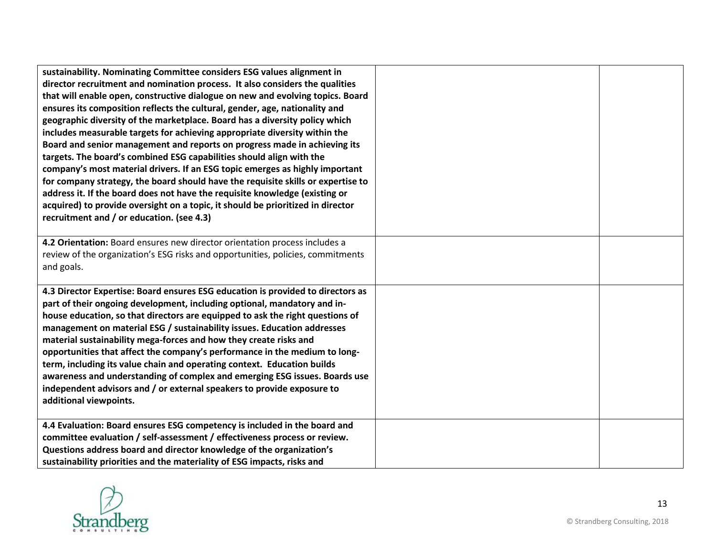| sustainability. Nominating Committee considers ESG values alignment in<br>director recruitment and nomination process. It also considers the qualities<br>that will enable open, constructive dialogue on new and evolving topics. Board<br>ensures its composition reflects the cultural, gender, age, nationality and<br>geographic diversity of the marketplace. Board has a diversity policy which<br>includes measurable targets for achieving appropriate diversity within the<br>Board and senior management and reports on progress made in achieving its<br>targets. The board's combined ESG capabilities should align with the<br>company's most material drivers. If an ESG topic emerges as highly important<br>for company strategy, the board should have the requisite skills or expertise to<br>address it. If the board does not have the requisite knowledge (existing or<br>acquired) to provide oversight on a topic, it should be prioritized in director<br>recruitment and / or education. (see 4.3) |  |
|------------------------------------------------------------------------------------------------------------------------------------------------------------------------------------------------------------------------------------------------------------------------------------------------------------------------------------------------------------------------------------------------------------------------------------------------------------------------------------------------------------------------------------------------------------------------------------------------------------------------------------------------------------------------------------------------------------------------------------------------------------------------------------------------------------------------------------------------------------------------------------------------------------------------------------------------------------------------------------------------------------------------------|--|
| 4.2 Orientation: Board ensures new director orientation process includes a<br>review of the organization's ESG risks and opportunities, policies, commitments<br>and goals.                                                                                                                                                                                                                                                                                                                                                                                                                                                                                                                                                                                                                                                                                                                                                                                                                                                  |  |
| 4.3 Director Expertise: Board ensures ESG education is provided to directors as<br>part of their ongoing development, including optional, mandatory and in-<br>house education, so that directors are equipped to ask the right questions of<br>management on material ESG / sustainability issues. Education addresses<br>material sustainability mega-forces and how they create risks and<br>opportunities that affect the company's performance in the medium to long-<br>term, including its value chain and operating context. Education builds<br>awareness and understanding of complex and emerging ESG issues. Boards use<br>independent advisors and / or external speakers to provide exposure to<br>additional viewpoints.                                                                                                                                                                                                                                                                                      |  |
| 4.4 Evaluation: Board ensures ESG competency is included in the board and<br>committee evaluation / self-assessment / effectiveness process or review.<br>Questions address board and director knowledge of the organization's<br>sustainability priorities and the materiality of ESG impacts, risks and                                                                                                                                                                                                                                                                                                                                                                                                                                                                                                                                                                                                                                                                                                                    |  |



13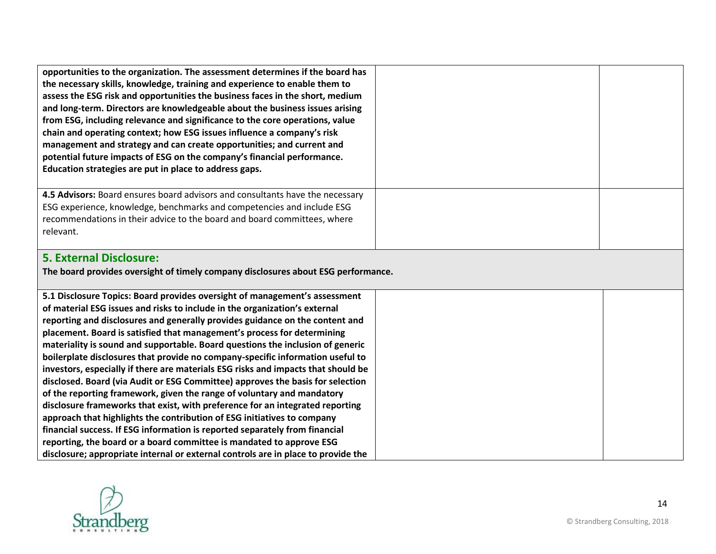| opportunities to the organization. The assessment determines if the board has<br>the necessary skills, knowledge, training and experience to enable them to<br>assess the ESG risk and opportunities the business faces in the short, medium<br>and long-term. Directors are knowledgeable about the business issues arising<br>from ESG, including relevance and significance to the core operations, value<br>chain and operating context; how ESG issues influence a company's risk<br>management and strategy and can create opportunities; and current and<br>potential future impacts of ESG on the company's financial performance.<br>Education strategies are put in place to address gaps.                                                                                                                                                                                                                                                                                                                                                                                                                                             |  |
|--------------------------------------------------------------------------------------------------------------------------------------------------------------------------------------------------------------------------------------------------------------------------------------------------------------------------------------------------------------------------------------------------------------------------------------------------------------------------------------------------------------------------------------------------------------------------------------------------------------------------------------------------------------------------------------------------------------------------------------------------------------------------------------------------------------------------------------------------------------------------------------------------------------------------------------------------------------------------------------------------------------------------------------------------------------------------------------------------------------------------------------------------|--|
| 4.5 Advisors: Board ensures board advisors and consultants have the necessary<br>ESG experience, knowledge, benchmarks and competencies and include ESG<br>recommendations in their advice to the board and board committees, where<br>relevant.                                                                                                                                                                                                                                                                                                                                                                                                                                                                                                                                                                                                                                                                                                                                                                                                                                                                                                 |  |
| <b>5. External Disclosure:</b><br>The board provides oversight of timely company disclosures about ESG performance.                                                                                                                                                                                                                                                                                                                                                                                                                                                                                                                                                                                                                                                                                                                                                                                                                                                                                                                                                                                                                              |  |
| 5.1 Disclosure Topics: Board provides oversight of management's assessment<br>of material ESG issues and risks to include in the organization's external<br>reporting and disclosures and generally provides guidance on the content and<br>placement. Board is satisfied that management's process for determining<br>materiality is sound and supportable. Board questions the inclusion of generic<br>boilerplate disclosures that provide no company-specific information useful to<br>investors, especially if there are materials ESG risks and impacts that should be<br>disclosed. Board (via Audit or ESG Committee) approves the basis for selection<br>of the reporting framework, given the range of voluntary and mandatory<br>disclosure frameworks that exist, with preference for an integrated reporting<br>approach that highlights the contribution of ESG initiatives to company<br>financial success. If ESG information is reported separately from financial<br>reporting, the board or a board committee is mandated to approve ESG<br>disclosure; appropriate internal or external controls are in place to provide the |  |

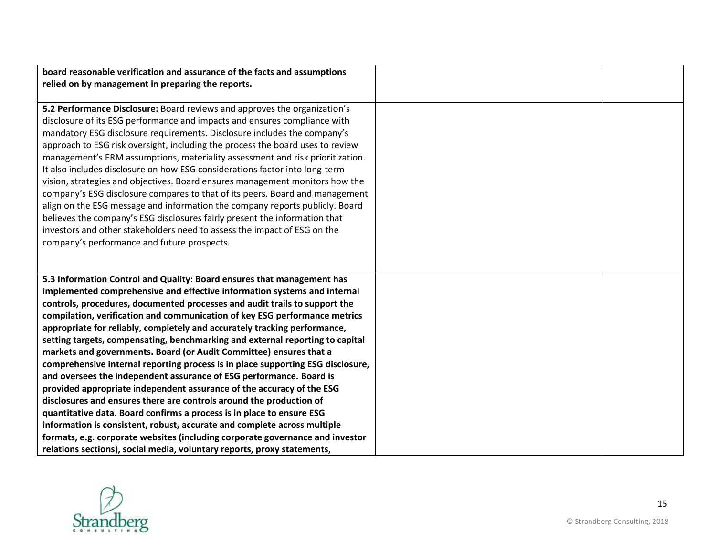| board reasonable verification and assurance of the facts and assumptions        |  |
|---------------------------------------------------------------------------------|--|
| relied on by management in preparing the reports.                               |  |
|                                                                                 |  |
| 5.2 Performance Disclosure: Board reviews and approves the organization's       |  |
| disclosure of its ESG performance and impacts and ensures compliance with       |  |
| mandatory ESG disclosure requirements. Disclosure includes the company's        |  |
| approach to ESG risk oversight, including the process the board uses to review  |  |
| management's ERM assumptions, materiality assessment and risk prioritization.   |  |
| It also includes disclosure on how ESG considerations factor into long-term     |  |
| vision, strategies and objectives. Board ensures management monitors how the    |  |
| company's ESG disclosure compares to that of its peers. Board and management    |  |
| align on the ESG message and information the company reports publicly. Board    |  |
| believes the company's ESG disclosures fairly present the information that      |  |
| investors and other stakeholders need to assess the impact of ESG on the        |  |
| company's performance and future prospects.                                     |  |
|                                                                                 |  |
|                                                                                 |  |
| 5.3 Information Control and Quality: Board ensures that management has          |  |
| implemented comprehensive and effective information systems and internal        |  |
| controls, procedures, documented processes and audit trails to support the      |  |
| compilation, verification and communication of key ESG performance metrics      |  |
| appropriate for reliably, completely and accurately tracking performance,       |  |
| setting targets, compensating, benchmarking and external reporting to capital   |  |
| markets and governments. Board (or Audit Committee) ensures that a              |  |
| comprehensive internal reporting process is in place supporting ESG disclosure, |  |
| and oversees the independent assurance of ESG performance. Board is             |  |
| provided appropriate independent assurance of the accuracy of the ESG           |  |
| disclosures and ensures there are controls around the production of             |  |
| quantitative data. Board confirms a process is in place to ensure ESG           |  |
| information is consistent, robust, accurate and complete across multiple        |  |
| formats, e.g. corporate websites (including corporate governance and investor   |  |
| relations sections), social media, voluntary reports, proxy statements,         |  |

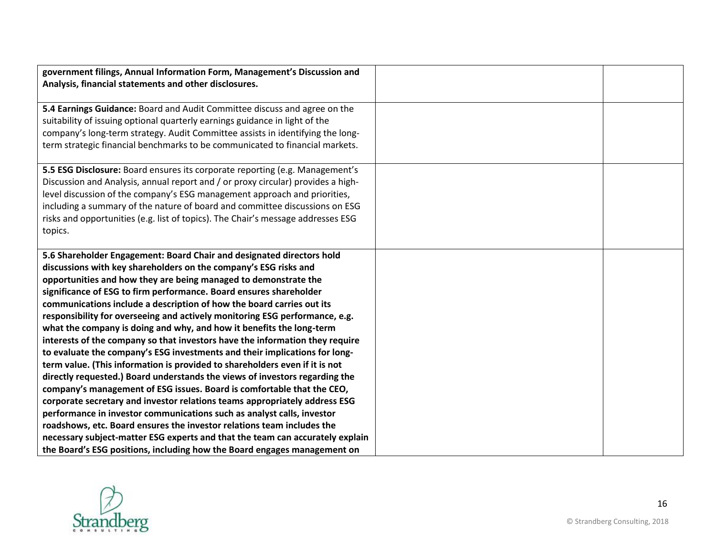| government filings, Annual Information Form, Management's Discussion and         |  |
|----------------------------------------------------------------------------------|--|
| Analysis, financial statements and other disclosures.                            |  |
|                                                                                  |  |
| 5.4 Earnings Guidance: Board and Audit Committee discuss and agree on the        |  |
| suitability of issuing optional quarterly earnings guidance in light of the      |  |
| company's long-term strategy. Audit Committee assists in identifying the long-   |  |
| term strategic financial benchmarks to be communicated to financial markets.     |  |
|                                                                                  |  |
| 5.5 ESG Disclosure: Board ensures its corporate reporting (e.g. Management's     |  |
| Discussion and Analysis, annual report and / or proxy circular) provides a high- |  |
| level discussion of the company's ESG management approach and priorities,        |  |
| including a summary of the nature of board and committee discussions on ESG      |  |
| risks and opportunities (e.g. list of topics). The Chair's message addresses ESG |  |
| topics.                                                                          |  |
|                                                                                  |  |
| 5.6 Shareholder Engagement: Board Chair and designated directors hold            |  |
| discussions with key shareholders on the company's ESG risks and                 |  |
| opportunities and how they are being managed to demonstrate the                  |  |
| significance of ESG to firm performance. Board ensures shareholder               |  |
| communications include a description of how the board carries out its            |  |
| responsibility for overseeing and actively monitoring ESG performance, e.g.      |  |
| what the company is doing and why, and how it benefits the long-term             |  |
| interests of the company so that investors have the information they require     |  |
| to evaluate the company's ESG investments and their implications for long-       |  |
| term value. (This information is provided to shareholders even if it is not      |  |
| directly requested.) Board understands the views of investors regarding the      |  |
| company's management of ESG issues. Board is comfortable that the CEO,           |  |
| corporate secretary and investor relations teams appropriately address ESG       |  |
| performance in investor communications such as analyst calls, investor           |  |
| roadshows, etc. Board ensures the investor relations team includes the           |  |
| necessary subject-matter ESG experts and that the team can accurately explain    |  |
| the Board's ESG positions, including how the Board engages management on         |  |